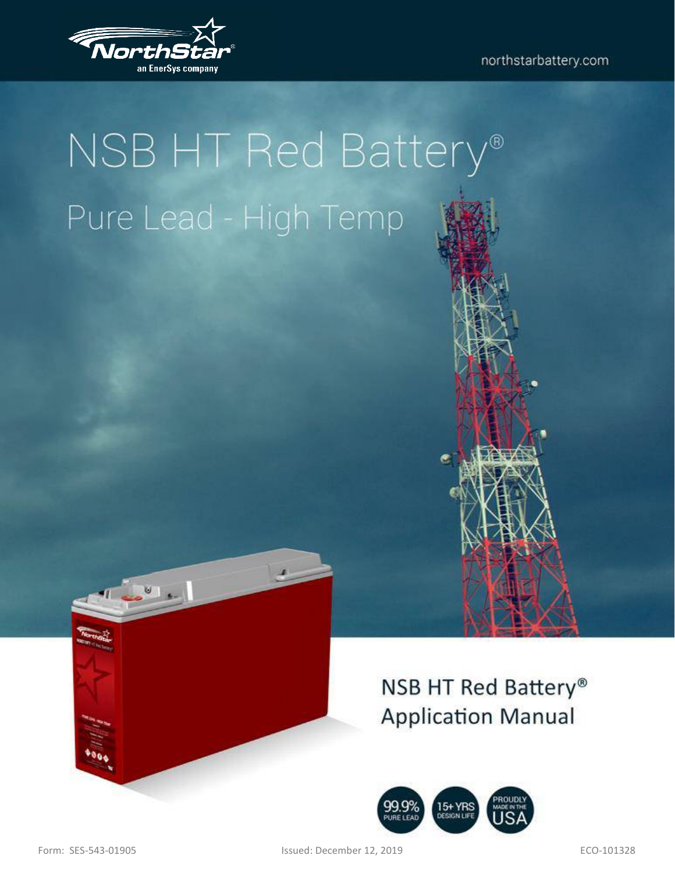

# NSB HT Red Battery® Pure Lead - High Temp



NSB HT Red Battery® **Application Manual** 



Form: SES-543-01905 Issued: December 12, 2019 ECO-101328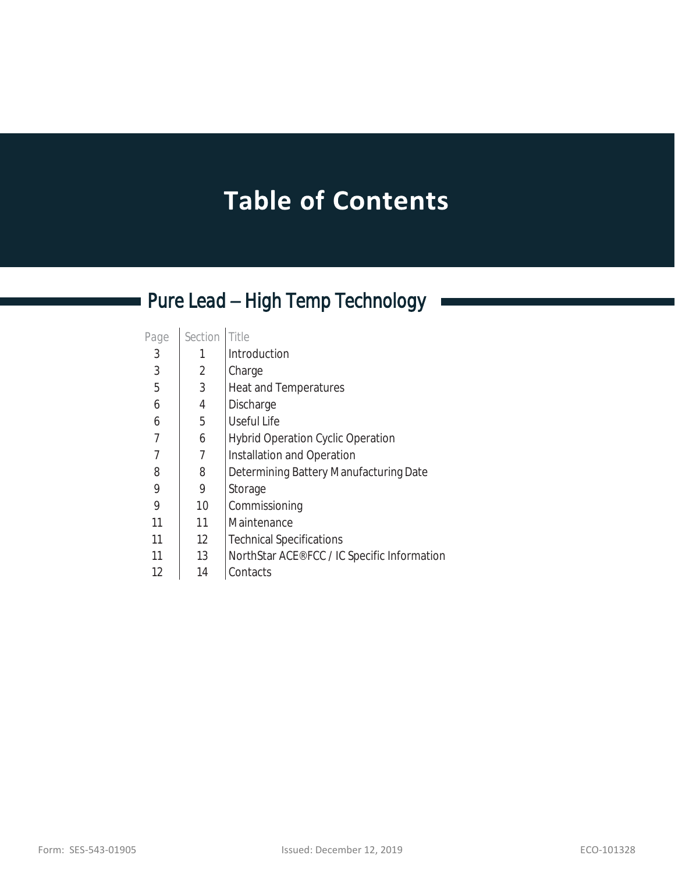# **Table of Contents**

# *Pure Lead – High Temp Technology*

| Page | Section | Title                                        |
|------|---------|----------------------------------------------|
| 3    |         | Introduction                                 |
| 3    | 2       | Charge                                       |
| 5    | 3       | Heat and Temperatures                        |
| 6    | 4       | Discharge                                    |
| 6    | 5       | Useful Life                                  |
| 7    | 6       | <b>Hybrid Operation Cyclic Operation</b>     |
| 7    |         | Installation and Operation                   |
| 8    | 8       | Determining Battery Manufacturing Date       |
| 9    | 9       | Storage                                      |
| 9    | 10      | Commissioning                                |
| 11   | 11      | Maintenance                                  |
| 11   | 12      | <b>Technical Specifications</b>              |
| 11   | 13      | NorthStar ACE® FCC / IC Specific Information |
| 12   | 14      | Contacts                                     |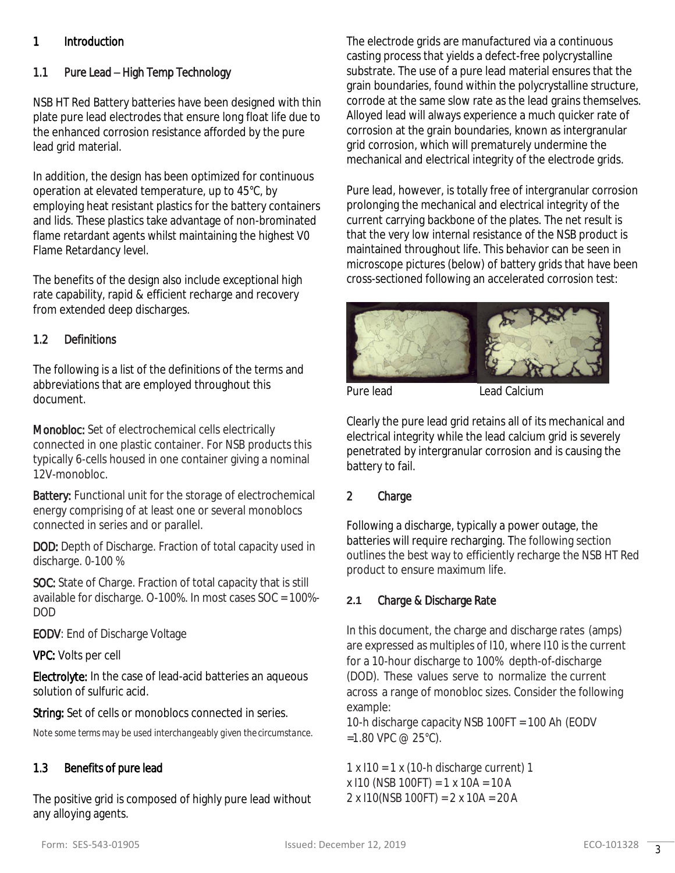# 1 Introduction

# 1.1 Pure Lead – High Temp Technology

NSB HT Red Battery batteries have been designed with thin plate pure lead electrodes that ensure long float life due to the enhanced corrosion resistance afforded by the pure lead grid material.

In addition, the design has been optimized for continuous operation at elevated temperature, up to 45°C, by employing heat resistant plastics for the battery containers and lids. These plastics take advantage of non-brominated flame retardant agents whilst maintaining the highest V0 Flame Retardancy level.

The benefits of the design also include exceptional high rate capability, rapid & efficient recharge and recovery from extended deep discharges.

# 1.2 Definitions

The following is a list of the definitions of the terms and abbreviations that are employed throughout this document.

Monobloc: Set of electrochemical cells electrically connected in one plastic container. For NSB products this typically 6-cells housed in one container giving a nominal 12V-monobloc.

Battery: Functional unit for the storage of electrochemical energy comprising of at least one or several monoblocs connected in series and or parallel.

DOD: Depth of Discharge. Fraction of total capacity used in discharge. 0-100 %

SOC: State of Charge. Fraction of total capacity that is still available for discharge. O-100%. In most cases SOC = 100%- DOD

EODV: End of Discharge Voltage

VPC: Volts per cell

Electrolyte: In the case of lead-acid batteries an aqueous solution of sulfuric acid.

String: Set of cells or monoblocs connected in series.

*Note some terms may be used interchangeably given the circumstance.*

# 1.3 Benefits of pure lead

The positive grid is composed of highly pure lead without any alloying agents.

The electrode grids are manufactured via a continuous casting process that yields a defect-free polycrystalline substrate. The use of a pure lead material ensures that the grain boundaries, found within the polycrystalline structure, corrode at the same slow rate as the lead grains themselves. Alloyed lead will always experience a much quicker rate of corrosion at the grain boundaries, known as intergranular grid corrosion, which will prematurely undermine the mechanical and electrical integrity of the electrode grids.

Pure lead, however, is totally free of intergranular corrosion prolonging the mechanical and electrical integrity of the current carrying backbone of the plates. The net result is that the very low internal resistance of the NSB product is maintained throughout life. This behavior can be seen in microscope pictures (below) of battery grids that have been cross-sectioned following an accelerated corrosion test:



Pure lead **Lead Calcium** 

Clearly the pure lead grid retains all of its mechanical and electrical integrity while the lead calcium grid is severely penetrated by intergranular corrosion and is causing the battery to fail.

# 2 Charge

Following a discharge, typically a power outage, the batteries will require recharging. The following section outlines the best way to efficiently recharge the NSB HT Red product to ensure maximum life.

# **2.1** Charge & Discharge Rate

In this document, the charge and discharge rates (amps) are expressed as multiples of I10, where I10 is the current for a 10-hour discharge to 100% depth-of-discharge (DOD). These values serve to normalize the current across a range of monobloc sizes. Consider the following example:

10-h discharge capacity NSB 100FT = 100 Ah (EODV  $=1.80$  VPC @ 25°C).

 $1 \times 110 = 1 \times (10-h)$  discharge current) 1 x I10 (NSB 100FT) = 1 x 10A = 10A 2 x I10(NSB 100FT) = 2 x 10A = 20A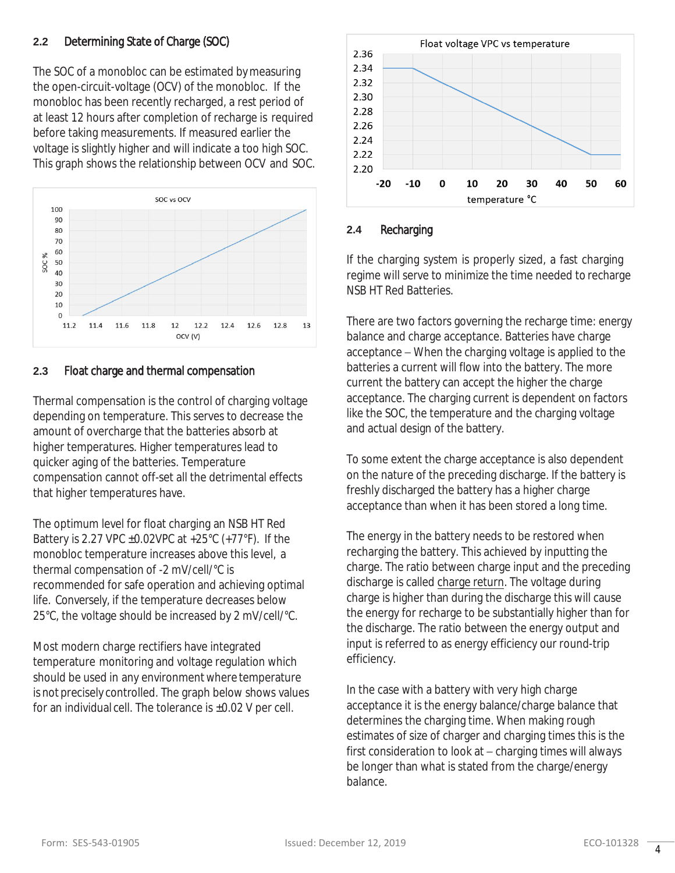# **2.2** Determining State of Charge (SOC)

The SOC of a monobloc can be estimated bymeasuring the open-circuit-voltage (OCV) of the monobloc. If the monobloc has been recently recharged, a rest period of at least 12 hours after completion of recharge is required before taking measurements. If measured earlier the voltage is slightly higher and will indicate a too high SOC. This graph shows the relationship between OCV and SOC.



#### **2.3** Float charge and thermal compensation

Thermal compensation is the control of charging voltage depending on temperature. This serves to decrease the amount of overcharge that the batteries absorb at higher temperatures. Higher temperatures lead to quicker aging of the batteries. Temperature compensation cannot off-set all the detrimental effects that higher temperatures have.

The optimum level for float charging an NSB HT Red Battery is 2.27 VPC  $\pm$ 0.02VPC at  $+25^{\circ}$ C ( $+77^{\circ}$ F). If the monobloc temperature increases above this level, a thermal compensation of -2 mV/cell/°C is recommended for safe operation and achieving optimal life. Conversely, if the temperature decreases below 25°C, the voltage should be increased by 2 mV/cell/°C.

Most modern charge rectifiers have integrated temperature monitoring and voltage regulation which should be used in any environment where temperature is not precisely controlled. The graph below shows values for an individual cell. The tolerance is  $\pm 0.02$  V per cell.



#### **2.4** Recharging

If the charging system is properly sized, a fast charging regime will serve to minimize the time needed to recharge NSB HT Red Batteries.

There are two factors governing the recharge time: energy balance and charge acceptance. Batteries have charge acceptance – When the charging voltage is applied to the batteries a current will flow into the battery. The more current the battery can accept the higher the charge acceptance. The charging current is dependent on factors like the SOC, the temperature and the charging voltage and actual design of the battery.

To some extent the charge acceptance is also dependent on the nature of the preceding discharge. If the battery is freshly discharged the battery has a higher charge acceptance than when it has been stored a long time.

The energy in the battery needs to be restored when recharging the battery. This achieved by inputting the charge. The ratio between charge input and the preceding discharge is called charge return. The voltage during charge is higher than during the discharge this will cause the energy for recharge to be substantially higher than for the discharge. The ratio between the energy output and input is referred to as energy efficiency our round-trip efficiency.

In the case with a battery with very high charge acceptance it is the energy balance/charge balance that determines the charging time. When making rough estimates of size of charger and charging times this is the first consideration to look at – charging times will always be longer than what is stated from the charge/energy balance.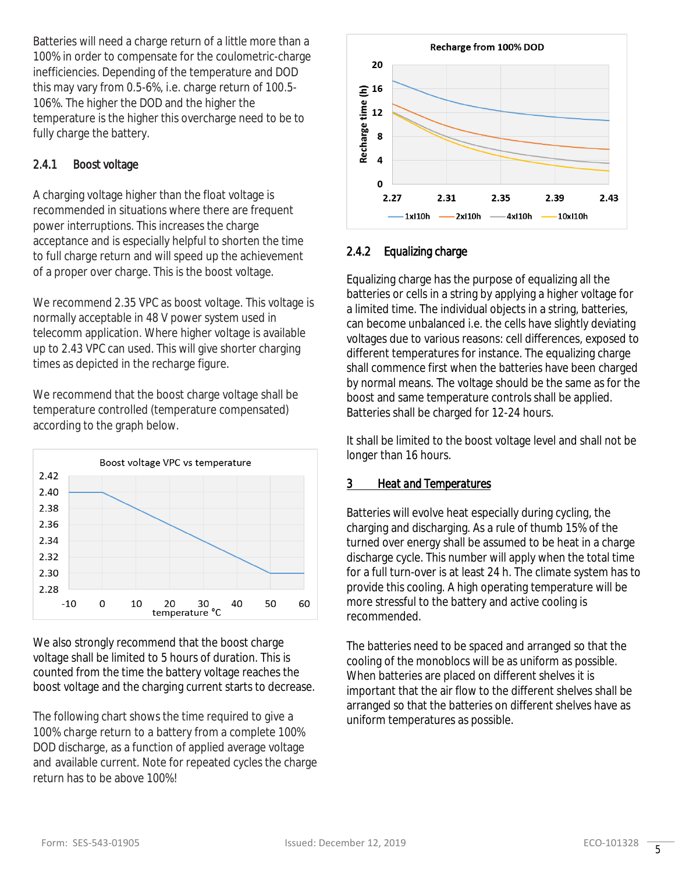Batteries will need a charge return of a little more than a 100% in order to compensate for the coulometric-charge inefficiencies. Depending of the temperature and DOD this may vary from 0.5-6%, i.e. charge return of 100.5- 106%. The higher the DOD and the higher the temperature is the higher this overcharge need to be to fully charge the battery.

# 2.4.1 Boost voltage

A charging voltage higher than the float voltage is recommended in situations where there are frequent power interruptions. This increases the charge acceptance and is especially helpful to shorten the time to full charge return and will speed up the achievement of a proper over charge. This is the boost voltage.

We recommend 2.35 VPC as boost voltage. This voltage is normally acceptable in 48 V power system used in telecomm application. Where higher voltage is available up to 2.43 VPC can used. This will give shorter charging times as depicted in the recharge figure.

We recommend that the boost charge voltage shall be temperature controlled (temperature compensated) according to the graph below.



We also strongly recommend that the boost charge voltage shall be limited to 5 hours of duration. This is counted from the time the battery voltage reaches the boost voltage and the charging current starts to decrease.

The following chart shows the time required to give a 100% charge return to a battery from a complete 100% DOD discharge, as a function of applied average voltage and available current. Note for repeated cycles the charge return has to be above 100%!



# 2.4.2 Equalizing charge

Equalizing charge has the purpose of equalizing all the batteries or cells in a string by applying a higher voltage for a limited time. The individual objects in a string, batteries, can become unbalanced i.e. the cells have slightly deviating voltages due to various reasons: cell differences, exposed to different temperatures for instance. The equalizing charge shall commence first when the batteries have been charged by normal means. The voltage should be the same as for the boost and same temperature controls shall be applied. Batteries shall be charged for 12-24 hours.

It shall be limited to the boost voltage level and shall not be longer than 16 hours.

# *3 Heat and Temperatures*

Batteries will evolve heat especially during cycling, the charging and discharging. As a rule of thumb 15% of the turned over energy shall be assumed to be heat in a charge discharge cycle. This number will apply when the total time for a full turn-over is at least 24 h. The climate system has to provide this cooling. A high operating temperature will be more stressful to the battery and active cooling is recommended.

The batteries need to be spaced and arranged so that the cooling of the monoblocs will be as uniform as possible. When batteries are placed on different shelves it is important that the air flow to the different shelves shall be arranged so that the batteries on different shelves have as uniform temperatures as possible.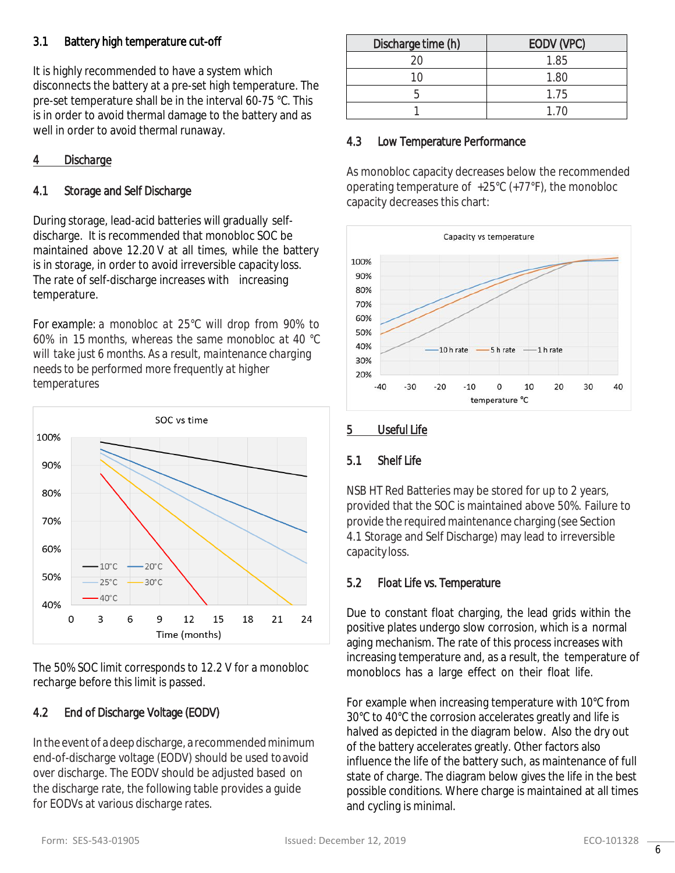# 3.1 Battery high temperature cut-off

It is highly recommended to have a system which disconnects the battery at a pre-set high temperature. The pre-set temperature shall be in the interval 60-75 °C. This is in order to avoid thermal damage to the battery and as well in order to avoid thermal runaway.

# *4 Discharge*

# 4.1 Storage and Self Discharge

During storage, lead-acid batteries will gradually selfdischarge. It is recommended that monobloc SOC be maintained above 12.20 V at all times, while the battery is in storage, in order to avoid irreversible capacity loss. The rate of self-discharge increases with increasing temperature.

*For example: a monobloc at 25°C will drop from 90% to 60% in 15 months, whereas the same monobloc at 40 °C will take just 6 months. As a result, maintenance charging needs to be performed more frequently at higher temperatures*



The 50% SOC limit corresponds to 12.2 V for a monobloc recharge before this limit is passed.

# 4.2 End of Discharge Voltage (EODV)

In the event of adeep discharge, a recommendedminimum end-of-discharge voltage (EODV) should be used toavoid over discharge. The EODV should be adjusted based on the discharge rate, the following table provides a guide for EODVs at various discharge rates.

| Discharge time (h) | EODV (VPC) |  |
|--------------------|------------|--|
| ЭC                 | 1.85       |  |
| 10                 | 1.80       |  |
|                    | 1.75       |  |
|                    | 1 7N       |  |

# 4.3 Low Temperature Performance

As monobloc capacity decreases below the recommended operating temperature of +25°C (+77°F), the monobloc capacity decreases this chart:



#### *5 Useful Life*

# 5.1 Shelf Life

NSB HT Red Batteries may be stored for up to 2 years, provided that the SOC is maintained above 50%. Failure to provide the required maintenance charging (see Section 4.1 Storage and Self Discharge) may lead to irreversible capacity loss.

# 5.2 Float Life vs. Temperature

Due to constant float charging, the lead grids within the positive plates undergo slow corrosion, which is a normal aging mechanism. The rate of this process increases with increasing temperature and, as a result, the temperature of monoblocs has a large effect on their float life.

For example when increasing temperature with 10°C from 30°C to 40°C the corrosion accelerates greatly and life is halved as depicted in the diagram below. Also the dry out of the battery accelerates greatly. Other factors also influence the life of the battery such, as maintenance of full state of charge. The diagram below gives the life in the best possible conditions. Where charge is maintained at all times and cycling is minimal.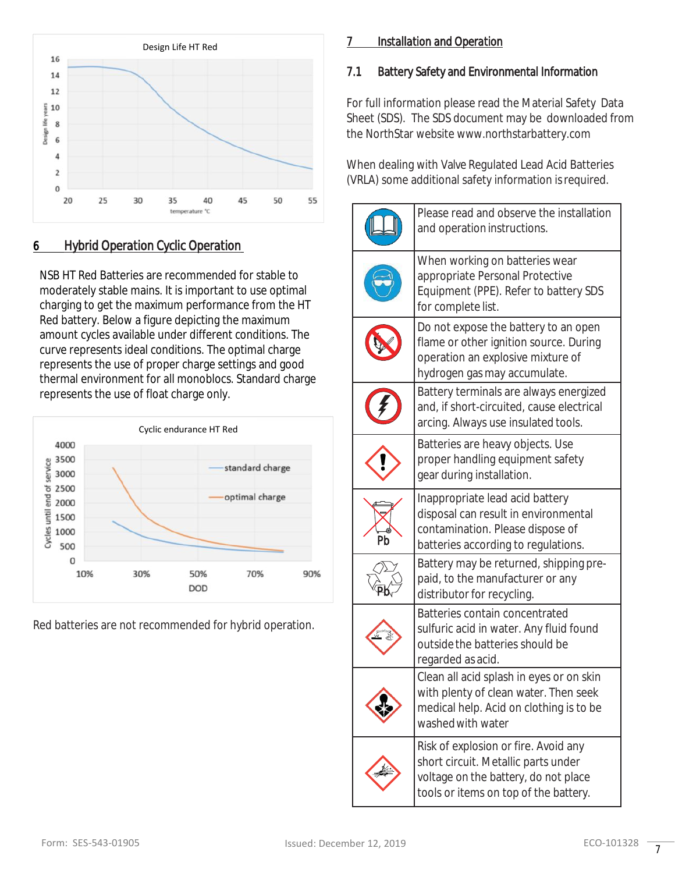

# 6 *Hybrid Operation Cyclic Operation*

NSB HT Red Batteries are recommended for stable to moderately stable mains. It is important to use optimal charging to get the maximum performance from the HT Red battery. Below a figure depicting the maximum amount cycles available under different conditions. The curve represents ideal conditions. The optimal charge represents the use of proper charge settings and good thermal environment for all monoblocs. Standard charge represents the use of float charge only.



Red batteries are not recommended for hybrid operation.

# *7 Installation and Operation*

# 7.1 Battery Safety and Environmental Information

For full information please read the Material Safety Data Sheet (SDS). The SDS document may be downloaded from the NorthStar website www.northstarbattery.com

When dealing with Valve Regulated Lead Acid Batteries (VRLA) some additional safety information isrequired.

|    | Please read and observe the installation<br>and operation instructions.                                                                                      |
|----|--------------------------------------------------------------------------------------------------------------------------------------------------------------|
|    | When working on batteries wear<br>appropriate Personal Protective<br>Equipment (PPE). Refer to battery SDS<br>for complete list.                             |
|    | Do not expose the battery to an open<br>flame or other ignition source. During<br>operation an explosive mixture of<br>hydrogen gas may accumulate.          |
|    | Battery terminals are always energized<br>and, if short-circuited, cause electrical<br>arcing. Always use insulated tools.                                   |
|    | Batteries are heavy objects. Use<br>proper handling equipment safety<br>gear during installation.                                                            |
| Pb | Inappropriate lead acid battery<br>disposal can result in environmental<br>contamination. Please dispose of<br>batteries according to regulations.           |
|    | Battery may be returned, shipping pre-<br>paid, to the manufacturer or any<br>distributor for recycling.                                                     |
|    | Batteries contain concentrated<br>sulfuric acid in water. Any fluid found<br>outside the batteries should be<br>regarded as acid.                            |
|    | Clean all acid splash in eyes or on skin<br>with plenty of clean water. Then seek<br>medical help. Acid on clothing is to be<br>washed with water            |
|    | Risk of explosion or fire. Avoid any<br>short circuit. Metallic parts under<br>voltage on the battery, do not place<br>tools or items on top of the battery. |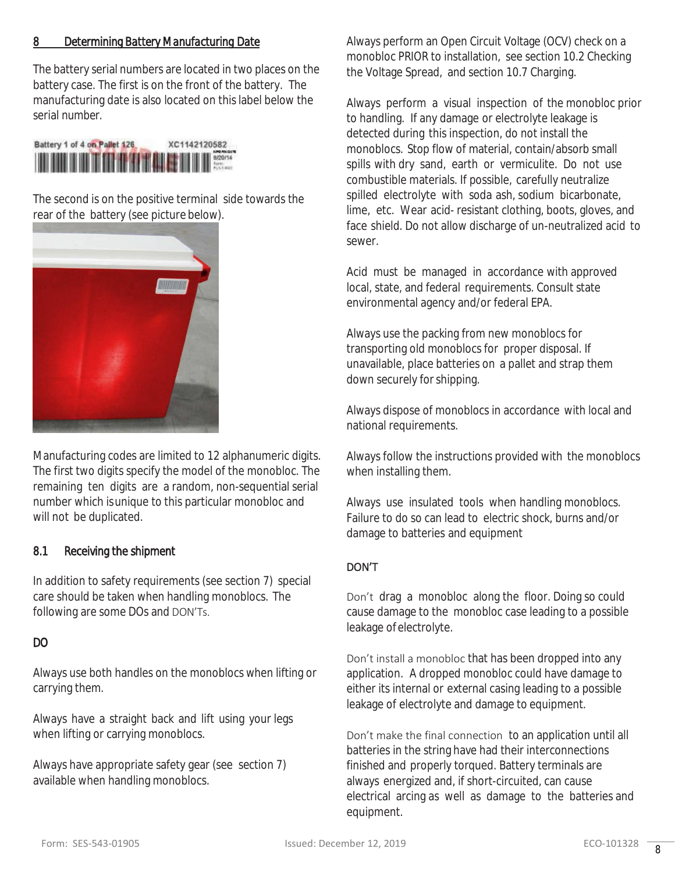#### *8 Determining Battery Manufacturing Date*

The battery serial numbers are located in two places on the battery case. The first is on the front of the battery. The manufacturing date is also located on this label below the serial number.



The second is on the positive terminal side towards the rear of the battery (see picture below).



Manufacturing codes are limited to 12 alphanumeric digits. The first two digits specify the model of the monobloc. The remaining ten digits are a random, non-sequential serial number which isunique to this particular monobloc and will not be duplicated.

#### 8.1 Receiving the shipment

In addition to safety requirements (see section 7) special care should be taken when handling monoblocs. The following are some DOs and DON'Ts.

#### DO

Always use both handles on the monoblocs when lifting or carrying them.

Always have a straight back and lift using your legs when lifting or carrying monoblocs.

Always have appropriate safety gear (see section 7) available when handling monoblocs.

Always perform an Open Circuit Voltage (OCV) check on a monobloc PRIOR to installation, see section 10.2 Checking the Voltage Spread, and section 10.7 Charging.

Always perform a visual inspection of the monobloc prior to handling. If any damage or electrolyte leakage is detected during this inspection, do not install the monoblocs. Stop flow of material, contain/absorb small spills with dry sand, earth or vermiculite. Do not use combustible materials. If possible, carefully neutralize spilled electrolyte with soda ash, sodium bicarbonate, lime, etc. Wear acid- resistant clothing, boots, gloves, and face shield. Do not allow discharge of un-neutralized acid to sewer.

Acid must be managed in accordance with approved local, state, and federal requirements. Consult state environmental agency and/or federal EPA.

Always use the packing from new monoblocs for transporting old monoblocs for proper disposal. If unavailable, place batteries on a pallet and strap them down securely for shipping.

Always dispose of monoblocs in accordance with local and national requirements.

Always follow the instructions provided with the monoblocs when installing them.

Always use insulated tools when handling monoblocs. Failure to do so can lead to electric shock, burns and/or damage to batteries and equipment

#### DON'T

Don't drag a monobloc along the floor. Doing so could cause damage to the monobloc case leading to a possible leakage of electrolyte.

Don't install a monobloc that has been dropped into any application. A dropped monobloc could have damage to either its internal or external casing leading to a possible leakage of electrolyte and damage to equipment.

Don't make the final connection to an application until all batteries in the string have had their interconnections finished and properly torqued. Battery terminals are always energized and, if short-circuited, can cause electrical arcing as well as damage to the batteries and equipment.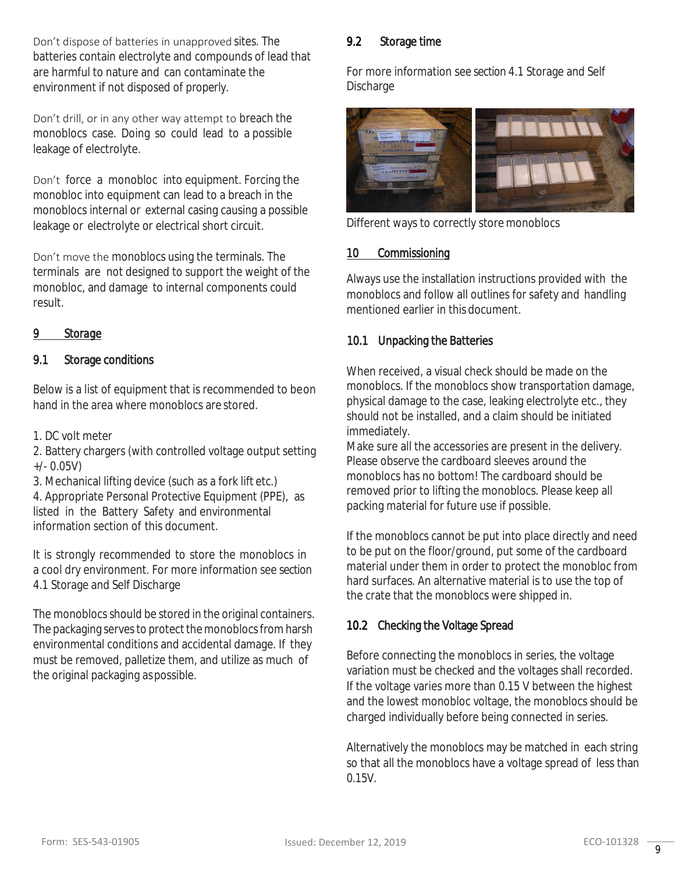Don't dispose of batteries in unapproved sites. The batteries contain electrolyte and compounds of lead that are harmful to nature and can contaminate the environment if not disposed of properly.

Don't drill, or in any other way attempt to breach the monoblocs case. Doing so could lead to a possible leakage of electrolyte.

Don't force a monobloc into equipment. Forcing the monobloc into equipment can lead to a breach in the monoblocs internal or external casing causing a possible leakage or electrolyte or electrical short circuit.

Don't move the monoblocs using the terminals. The terminals are not designed to support the weight of the monobloc, and damage to internal components could result.

#### *9 Storage*

#### 9.1 Storage conditions

Below is a list of equipment that is recommended to beon hand in the area where monoblocs are stored.

1. DC volt meter

2. Battery chargers (with controlled voltage output setting +/- 0.05V)

3. Mechanical lifting device (such as a fork lift etc.)

4. Appropriate Personal Protective Equipment (PPE), as listed in the Battery Safety and environmental information section of this document.

It is strongly recommended to store the monoblocs in a cool dry environment. For more information see section 4.1 Storage and Self Discharge

The monoblocs should be stored in the original containers. The packaging serves to protect the monoblocs from harsh environmental conditions and accidental damage. If they must be removed, palletize them, and utilize as much of the original packaging aspossible.

#### 9.2 Storage time

For more information see section 4.1 Storage and Self Discharge



Different ways to correctly store monoblocs

#### *10 Commissioning*

Always use the installation instructions provided with the monoblocs and follow all outlines for safety and handling mentioned earlier in this document.

#### 10.1 Unpacking the Batteries

When received, a visual check should be made on the monoblocs. If the monoblocs show transportation damage, physical damage to the case, leaking electrolyte etc., they should not be installed, and a claim should be initiated immediately.

Make sure all the accessories are present in the delivery. Please observe the cardboard sleeves around the monoblocs has no bottom! The cardboard should be removed prior to lifting the monoblocs. Please keep all packing material for future use if possible.

If the monoblocs cannot be put into place directly and need to be put on the floor/ground, put some of the cardboard material under them in order to protect the monobloc from hard surfaces. An alternative material is to use the top of the crate that the monoblocs were shipped in.

#### 10.2 Checking the Voltage Spread

Before connecting the monoblocs in series, the voltage variation must be checked and the voltages shall recorded. If the voltage varies more than 0.15 V between the highest and the lowest monobloc voltage, the monoblocs should be charged individually before being connected in series.

Alternatively the monoblocs may be matched in each string so that all the monoblocs have a voltage spread of less than 0.15V.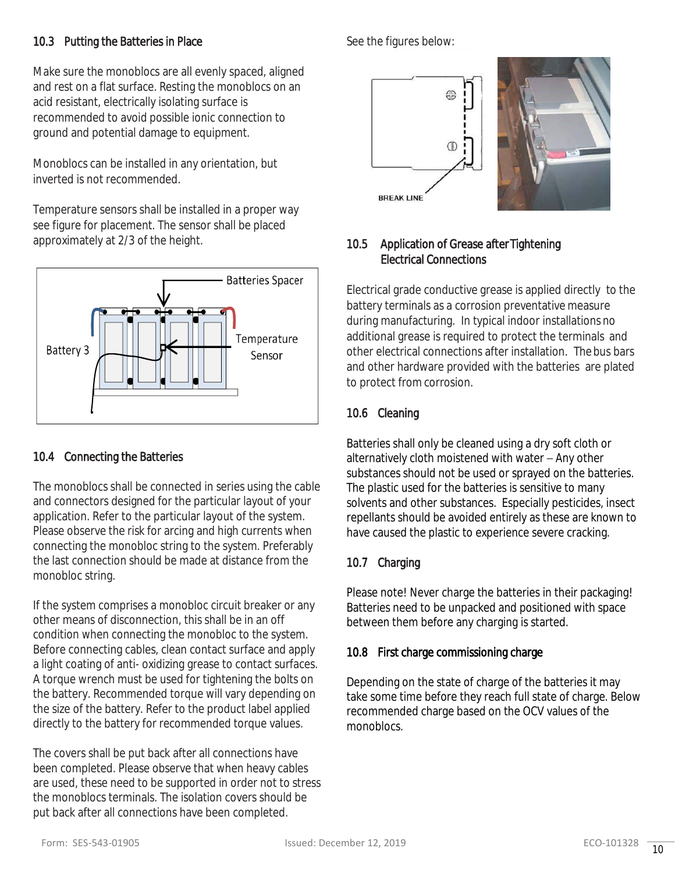# 10.3 Putting the Batteries in Place

Make sure the monoblocs are all evenly spaced, aligned and rest on a flat surface. Resting the monoblocs on an acid resistant, electrically isolating surface is recommended to avoid possible ionic connection to ground and potential damage to equipment.

Monoblocs can be installed in any orientation, but inverted is not recommended.

Temperature sensors shall be installed in a proper way see figure for placement. The sensor shall be placed approximately at 2/3 of the height.



# 10.4 Connecting the Batteries

The monoblocs shall be connected in series using the cable and connectors designed for the particular layout of your application. Refer to the particular layout of the system. Please observe the risk for arcing and high currents when connecting the monobloc string to the system. Preferably the last connection should be made at distance from the monobloc string.

If the system comprises a monobloc circuit breaker or any other means of disconnection, this shall be in an off condition when connecting the monobloc to the system. Before connecting cables, clean contact surface and apply a light coating of anti- oxidizing grease to contact surfaces. A torque wrench must be used for tightening the bolts on the battery. Recommended torque will vary depending on the size of the battery. Refer to the product label applied directly to the battery for recommended torque values.

The covers shall be put back after all connections have been completed. Please observe that when heavy cables are used, these need to be supported in order not to stress the monoblocs terminals. The isolation covers should be put back after all connections have been completed.

See the figures below:



# 10.5 Application of Grease after Tightening Electrical Connections

Electrical grade conductive grease is applied directly to the battery terminals as a corrosion preventative measure during manufacturing. In typical indoor installations no additional grease is required to protect the terminals and other electrical connections after installation. Thebus bars and other hardware provided with the batteries are plated to protect from corrosion.

# 10.6 Cleaning

Batteries shall only be cleaned using a dry soft cloth or alternatively cloth moistened with water – Any other substances should not be used or sprayed on the batteries. The plastic used for the batteries is sensitive to many solvents and other substances. Especially pesticides, insect repellants should be avoided entirely as these are known to have caused the plastic to experience severe cracking.

# 10.7 Charging

Please note! Never charge the batteries in their packaging! Batteries need to be unpacked and positioned with space between them before any charging is started.

# 10.8 First charge commissioning charge

Depending on the state of charge of the batteries it may take some time before they reach full state of charge. Below recommended charge based on the OCV values of the monoblocs.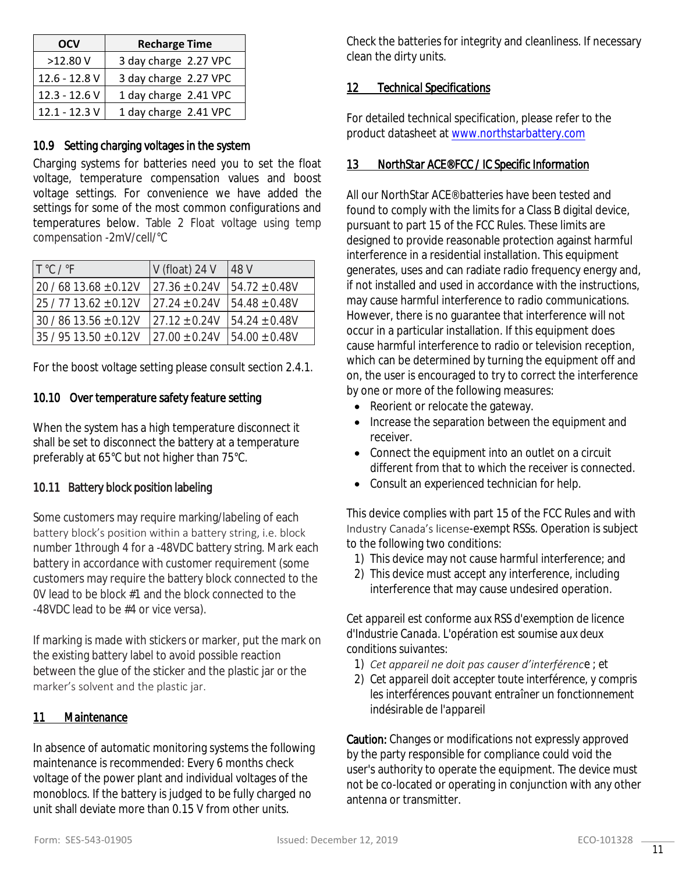| <b>OCV</b>      | <b>Recharge Time</b>  |  |
|-----------------|-----------------------|--|
| $>12.80$ V      | 3 day charge 2.27 VPC |  |
| 12.6 - 12.8 V   | 3 day charge 2.27 VPC |  |
| $12.3 - 12.6 V$ | 1 day charge 2.41 VPC |  |
| $12.1 - 12.3$ V | 1 day charge 2.41 VPC |  |

#### 10.9 Setting charging voltages in the system

Charging systems for batteries need you to set the float voltage, temperature compensation values and boost voltage settings. For convenience we have added the settings for some of the most common configurations and temperatures below. Table 2 Float voltage using temp compensation -2mV/cell/°C

| $T^{\circ}$ C / $^{\circ}$ F | $V$ (float) 24 V   | 48 V               |
|------------------------------|--------------------|--------------------|
| $20/6813.68 \pm 0.12V$       | $27.36 \pm 0.24V$  | $154.72 \pm 0.48V$ |
| $25/7713.62 \pm 0.12V$       | $127.24 \pm 0.24V$ | $154.48 + 0.48V$   |
| $30/8613.56 \pm 0.12V$       | $27.12 + 0.24V$    | $154.24 \pm 0.48V$ |
| 135 / 95 13.50 + 0.12V       | $27.00 + 0.24V$    | $154.00 \pm 0.48V$ |

For the boost voltage setting please consult section 2.4.1.

#### 10.10 Over temperature safety feature setting

When the system has a high temperature disconnect it shall be set to disconnect the battery at a temperature preferably at 65°C but not higher than 75°C.

# 10.11 Battery block position labeling

Some customers may require marking/labeling of each battery block's position within a battery string, i.e. block number 1through 4 for a -48VDC battery string. Mark each battery in accordance with customer requirement (some customers may require the battery block connected to the 0V lead to be block #1 and the block connected to the -48VDC lead to be #4 or vice versa).

If marking is made with stickers or marker, put the mark on the existing battery label to avoid possible reaction between the glue of the sticker and the plastic jar or the marker's solvent and the plastic jar.

#### *11 Maintenance*

In absence of automatic monitoring systems the following maintenance is recommended: Every 6 months check voltage of the power plant and individual voltages of the monoblocs. If the battery is judged to be fully charged no unit shall deviate more than 0.15 V from other units.

Check the batteries for integrity and cleanliness. If necessary clean the dirty units.

#### *12 Technical Specifications*

For detailed technical specification, please refer to the product datasheet at [www.northstarbattery.com](http://www.northstarbattery.com/)

#### *13 NorthStar ACE® FCC / IC Specific Information*

All our NorthStar ACE® batteries have been tested and found to comply with the limits for a Class B digital device, pursuant to part 15 of the FCC Rules. These limits are designed to provide reasonable protection against harmful interference in a residential installation. This equipment generates, uses and can radiate radio frequency energy and, if not installed and used in accordance with the instructions, may cause harmful interference to radio communications. However, there is no guarantee that interference will not occur in a particular installation. If this equipment does cause harmful interference to radio or television reception, which can be determined by turning the equipment off and on, the user is encouraged to try to correct the interference by one or more of the following measures:

- Reorient or relocate the gateway.
- Increase the separation between the equipment and receiver.
- Connect the equipment into an outlet on a circuit different from that to which the receiver is connected.
- Consult an experienced technician for help.

This device complies with part 15 of the FCC Rules and with Industry Canada's license-exempt RSSs. Operation is subject to the following two conditions:

- 1) This device may not cause harmful interference; and
- 2) This device must accept any interference, including interference that may cause undesired operation.

*Cet appareil est conforme aux RSS d'exemption de licence d'Industrie Canada. L'opération est soumise aux deux conditions suivantes:*

- *1) Cet appareil ne doit pas causer d'interférence ; et*
- *2) Cet appareil doit accepter toute interférence, y compris les interférences pouvant entraîner un fonctionnement indésirable de l'appareil*

Caution: Changes or modifications not expressly approved by the party responsible for compliance could void the user's authority to operate the equipment. The device must not be co-located or operating in conjunction with any other antenna or transmitter.